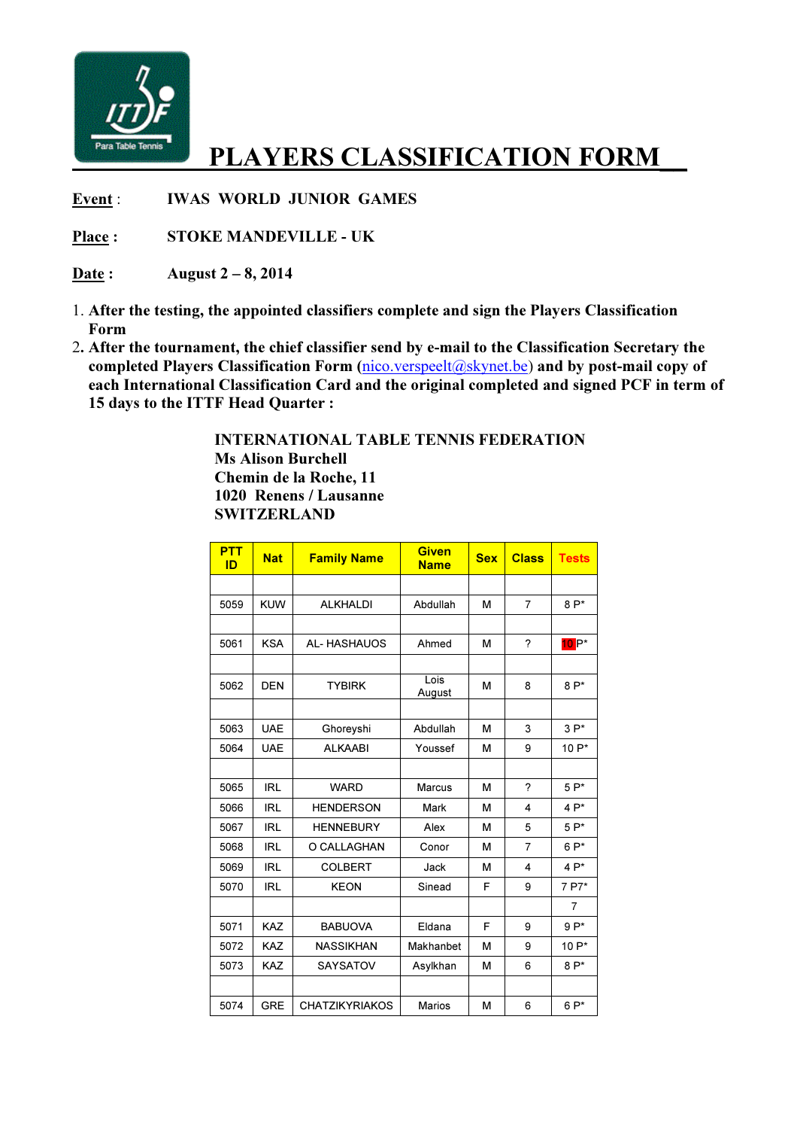

## PLAYERS CLASSIFICATION FORM

Event : **IWAS WORLD JUNIOR GAMES** 

Place : STOKE MANDEVILLE - UK

Date: August  $2-8$ ,  $2014$ 

- 1. After the testing, the appointed classifiers complete and sign the Players Classification Form
- 2. After the tournament, the chief classifier send by e-mail to the Classification Secretary the completed Players Classification Form (nico.verspeelt@skynet.be) and by post-mail copy of each International Classification Card and the original completed and signed PCF in term of 15 days to the ITTF Head Quarter :

 INTERNATIONAL TABLE TENNIS FEDERATION Ms Alison Burchell Chemin de la Roche, 11 1020 Renens / Lausanne **SWITZERLAND** 

| <b>PTT</b><br>ID | <b>Nat</b> | <b>Family Name</b>    | <b>Given</b><br><b>Name</b> | <b>Sex</b> | <b>Class</b>   | <b>Tests</b>   |
|------------------|------------|-----------------------|-----------------------------|------------|----------------|----------------|
|                  |            |                       |                             |            |                |                |
| 5059             | <b>KUW</b> | <b>ALKHALDI</b>       | Abdullah                    | M          | 7              | $8P*$          |
|                  |            |                       |                             |            |                |                |
| 5061             | <b>KSA</b> | <b>AL-HASHAUOS</b>    | Ahmed                       | M          | ?              | $10P^*$        |
|                  |            |                       |                             |            |                |                |
| 5062             | <b>DEN</b> | <b>TYBIRK</b>         | Lois<br>August              | M          | 8              | $8P*$          |
|                  |            |                       |                             |            |                |                |
| 5063             | <b>UAE</b> | Ghoreyshi             | Abdullah                    | M          | 3              | $3P^*$         |
| 5064             | <b>UAE</b> | <b>ALKAABI</b>        | Youssef                     | M          | 9              | 10 P*          |
|                  |            |                       |                             |            |                |                |
| 5065             | <b>IRL</b> | <b>WARD</b>           | <b>Marcus</b>               | M          | 2              | $5P*$          |
| 5066             | <b>IRL</b> | <b>HENDERSON</b>      | Mark                        | M          | 4              | $4P^*$         |
| 5067             | <b>IRL</b> | <b>HENNEBURY</b>      | Alex                        | M          | 5              | $5P^*$         |
| 5068             | <b>IRL</b> | O CALLAGHAN           | Conor                       | м          | $\overline{7}$ | $6P*$          |
| 5069             | <b>IRL</b> | <b>COLBERT</b>        | Jack                        | M          | 4              | $4P*$          |
| 5070             | <b>IRL</b> | <b>KEON</b>           | Sinead                      | F          | 9              | 7 P7*          |
|                  |            |                       |                             |            |                | $\overline{7}$ |
| 5071             | <b>KAZ</b> | <b>BABUOVA</b>        | Eldana                      | F          | 9              | $9P*$          |
| 5072             | <b>KAZ</b> | <b>NASSIKHAN</b>      | Makhanbet                   | M          | 9              | 10 P*          |
| 5073             | <b>KAZ</b> | <b>SAYSATOV</b>       | Asylkhan                    | M          | 6              | $8P*$          |
|                  |            |                       |                             |            |                |                |
| 5074             | <b>GRE</b> | <b>CHATZIKYRIAKOS</b> | <b>Marios</b>               | M          | 6              | $6P*$          |